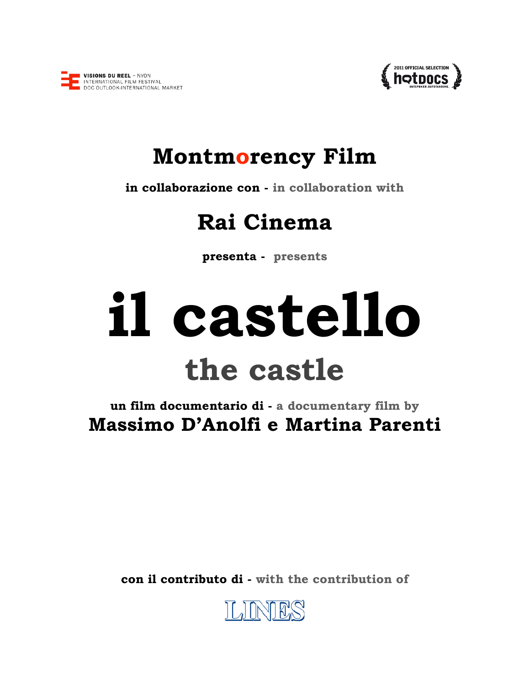



## **Montmorency Film**

**in collaborazione con - in collaboration with** 

# **Rai Cinema**

**presenta - presents** 

# **il castello the castle**

**un film documentario di - a documentary film by Massimo D'Anolfi e Martina Parenti** 

**con il contributo di - with the contribution of** 

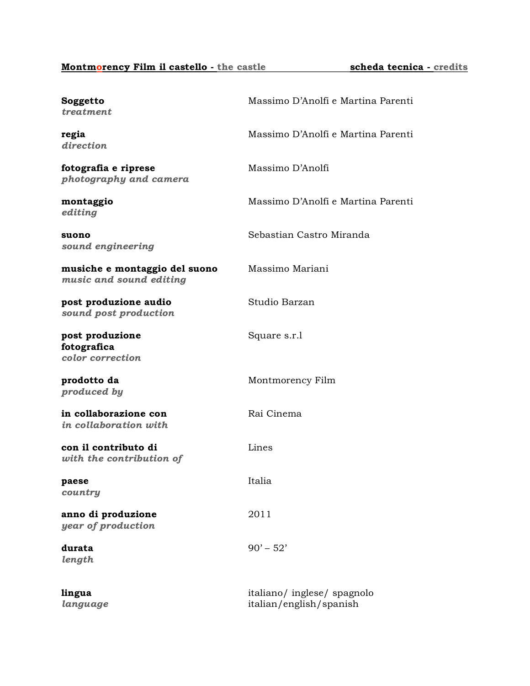## **Montmorency Film il castello** - the castle **scheda tecnica** - credits

| Soggetto<br>treatment                                    | Massimo D'Anolfi e Martina Parenti                     |
|----------------------------------------------------------|--------------------------------------------------------|
| regia<br>direction                                       | Massimo D'Anolfi e Martina Parenti                     |
| fotografia e riprese<br>photography and camera           | Massimo D'Anolfi                                       |
| montaggio<br>editing                                     | Massimo D'Anolfi e Martina Parenti                     |
| suono<br>sound engineering                               | Sebastian Castro Miranda                               |
| musiche e montaggio del suono<br>music and sound editing | Massimo Mariani                                        |
| post produzione audio<br>sound post production           | Studio Barzan                                          |
| post produzione<br>fotografica<br>color correction       | Square s.r.1                                           |
| prodotto da<br>produced by                               | Montmorency Film                                       |
| in collaborazione con<br>in collaboration with           | Rai Cinema                                             |
| con il contributo di<br>with the contribution of         | Lines                                                  |
| paese<br>country                                         | Italia                                                 |
| anno di produzione<br>year of production                 | 2011                                                   |
| durata<br>length                                         | $90' - 52'$                                            |
| lingua<br>language                                       | italiano/ inglese/ spagnolo<br>italian/english/spanish |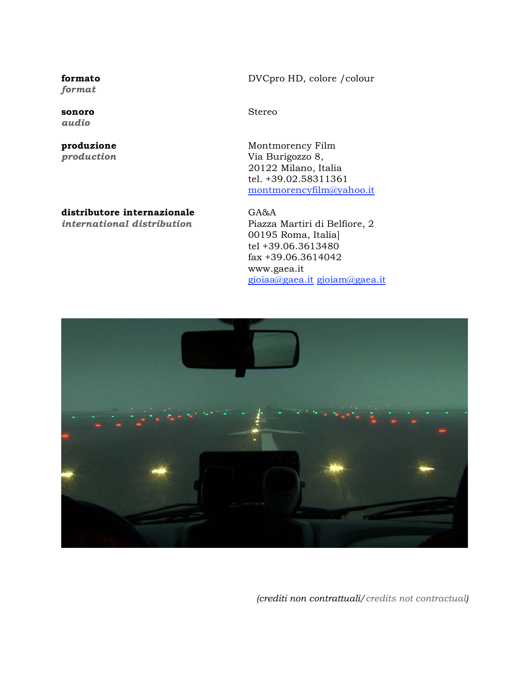*format* 

*audio* 

## **distributore internazionale** GA&A

**formato** DVCpro HD, colore /colour

**sonoro** Stereo

**produzione Montmorency Film** *production* Via Burigozzo 8, 20122 Milano, Italia tel. +39.02.58311361 montmorencyfilm@yahoo.it

*international distribution* Piazza Martiri di Belfiore, 2 00195 Roma, Italia] tel +39.06.3613480 fax +39.06.3614042 www.gaea.it gioiaa@gaea.it gioiam@gaea.it



*(crediti non contrattuali/credits not contractual)*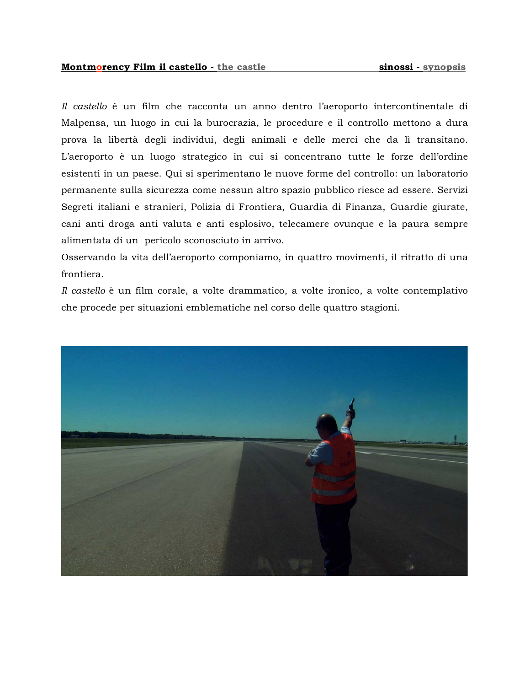*Il castello* è un film che racconta un anno dentro l'aeroporto intercontinentale di Malpensa, un luogo in cui la burocrazia, le procedure e il controllo mettono a dura prova la libertà degli individui, degli animali e delle merci che da lì transitano. L'aeroporto è un luogo strategico in cui si concentrano tutte le forze dell'ordine esistenti in un paese. Qui si sperimentano le nuove forme del controllo: un laboratorio permanente sulla sicurezza come nessun altro spazio pubblico riesce ad essere. Servizi Segreti italiani e stranieri, Polizia di Frontiera, Guardia di Finanza, Guardie giurate, cani anti droga anti valuta e anti esplosivo, telecamere ovunque e la paura sempre alimentata di un pericolo sconosciuto in arrivo.

Osservando la vita dell'aeroporto componiamo, in quattro movimenti, il ritratto di una frontiera.

*Il castello* è un film corale, a volte drammatico, a volte ironico, a volte contemplativo che procede per situazioni emblematiche nel corso delle quattro stagioni.

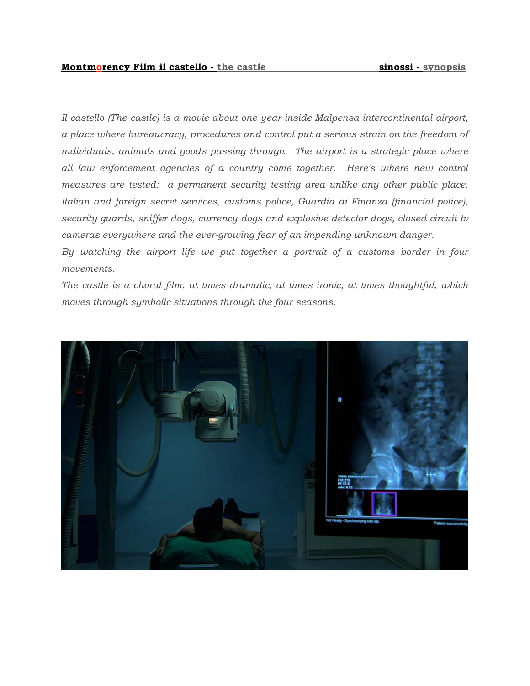*Il castello (The castle) is a movie about one year inside Malpensa intercontinental airport, a place where bureaucracy, procedures and control put a serious strain on the freedom of*  individuals, animals and goods passing through. The airport is a strategic place where *all law enforcement agencies of a country come together. Here's where new control measures are tested: a permanent security testing area unlike any other public place. Italian and foreign secret services, customs police, Guardia di Finanza (financial police), security guards, sniffer dogs, currency dogs and explosive detector dogs, closed circuit tv cameras everywhere and the ever-growing fear of an impending unknown danger.* 

By watching the airport life we put together a portrait of a customs border in four *movements.* 

*The castle is a choral film, at times dramatic, at times ironic, at times thoughtful, which moves through symbolic situations through the four seasons.* 

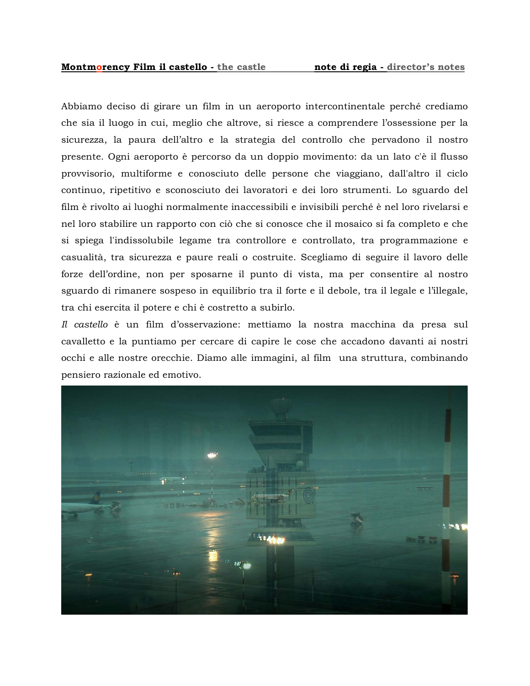Abbiamo deciso di girare un film in un aeroporto intercontinentale perché crediamo che sia il luogo in cui, meglio che altrove, si riesce a comprendere l'ossessione per la sicurezza, la paura dell'altro e la strategia del controllo che pervadono il nostro presente. Ogni aeroporto è percorso da un doppio movimento: da un lato c'è il flusso provvisorio, multiforme e conosciuto delle persone che viaggiano, dall'altro il ciclo continuo, ripetitivo e sconosciuto dei lavoratori e dei loro strumenti. Lo sguardo del film è rivolto ai luoghi normalmente inaccessibili e invisibili perché è nel loro rivelarsi e nel loro stabilire un rapporto con ciò che si conosce che il mosaico si fa completo e che si spiega l'indissolubile legame tra controllore e controllato, tra programmazione e casualità, tra sicurezza e paure reali o costruite. Scegliamo di seguire il lavoro delle forze dell'ordine, non per sposarne il punto di vista, ma per consentire al nostro sguardo di rimanere sospeso in equilibrio tra il forte e il debole, tra il legale e l'illegale, tra chi esercita il potere e chi è costretto a subirlo.

*Il castello* è un film d'osservazione: mettiamo la nostra macchina da presa sul cavalletto e la puntiamo per cercare di capire le cose che accadono davanti ai nostri occhi e alle nostre orecchie. Diamo alle immagini, al film una struttura, combinando pensiero razionale ed emotivo.

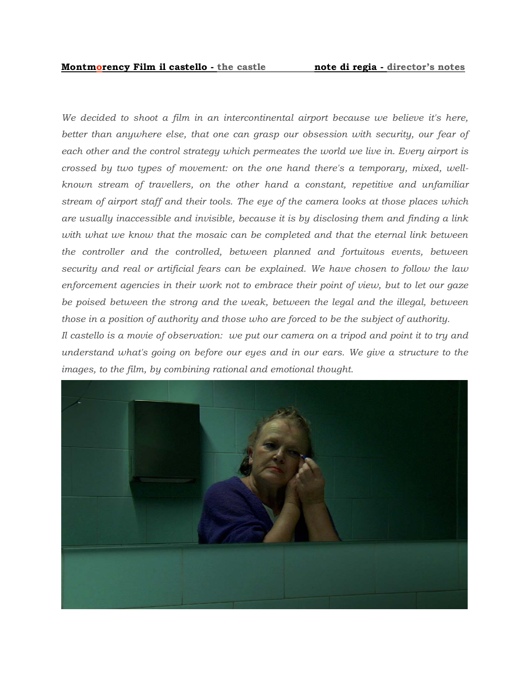*We decided to shoot a film in an intercontinental airport because we believe it's here,*  better than anywhere else, that one can grasp our obsession with security, our fear of *each other and the control strategy which permeates the world we live in. Every airport is crossed by two types of movement: on the one hand there's a temporary, mixed, wellknown stream of travellers, on the other hand a constant, repetitive and unfamiliar stream of airport staff and their tools. The eye of the camera looks at those places which are usually inaccessible and invisible, because it is by disclosing them and finding a link*  with what we know that the mosaic can be completed and that the eternal link between *the controller and the controlled, between planned and fortuitous events, between security and real or artificial fears can be explained. We have chosen to follow the law enforcement agencies in their work not to embrace their point of view, but to let our gaze*  be poised between the strong and the weak, between the legal and the illegal, between *those in a position of authority and those who are forced to be the subject of authority.* 

*Il castello is a movie of observation: we put our camera on a tripod and point it to try and understand what's going on before our eyes and in our ears. We give a structure to the images, to the film, by combining rational and emotional thought.*

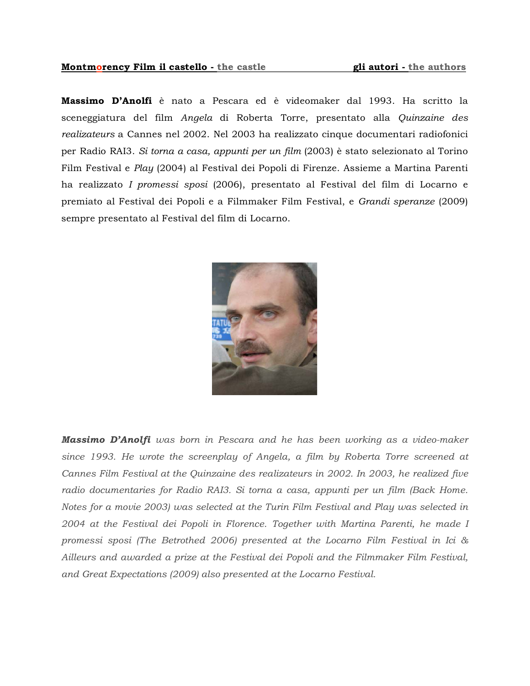### **Montmorency Film il castello - the castle gli autori - the authors**

**Massimo D'Anolfi** è nato a Pescara ed è videomaker dal 1993. Ha scritto la sceneggiatura del film *Angela* di Roberta Torre, presentato alla *Quinzaine des realizateurs* a Cannes nel 2002. Nel 2003 ha realizzato cinque documentari radiofonici per Radio RAI3. *Si torna a casa, appunti per un film* (2003) è stato selezionato al Torino Film Festival e *Play* (2004) al Festival dei Popoli di Firenze. Assieme a Martina Parenti ha realizzato *I promessi sposi* (2006), presentato al Festival del film di Locarno e premiato al Festival dei Popoli e a Filmmaker Film Festival, e *Grandi speranze* (2009) sempre presentato al Festival del film di Locarno.



*Massimo D'Anolfi was born in Pescara and he has been working as a video-maker since 1993. He wrote the screenplay of Angela, a film by Roberta Torre screened at Cannes Film Festival at the Quinzaine des realizateurs in 2002. In 2003, he realized five*  radio documentaries for Radio RAI3. Si torna a casa, appunti per un film (Back Home. *Notes for a movie 2003) was selected at the Turin Film Festival and Play was selected in 2004 at the Festival dei Popoli in Florence. Together with Martina Parenti, he made I promessi sposi (The Betrothed 2006) presented at the Locarno Film Festival in Ici & Ailleurs and awarded a prize at the Festival dei Popoli and the Filmmaker Film Festival, and Great Expectations (2009) also presented at the Locarno Festival.*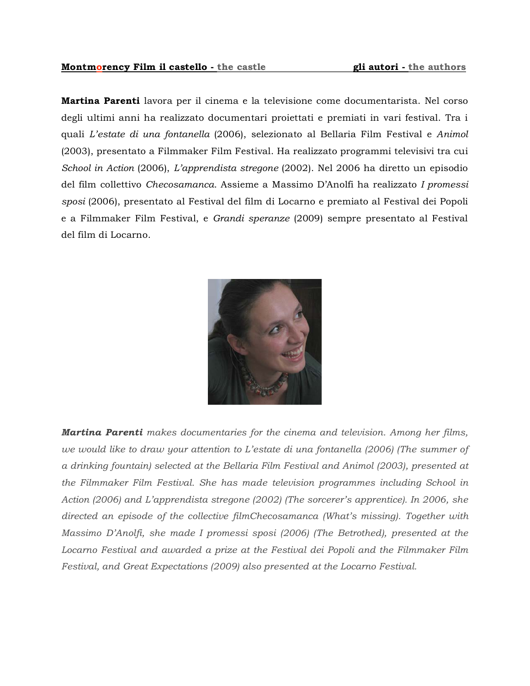## **Montmorency Film il castello** - the castle **gli autori** - the authors

**Martina Parenti** lavora per il cinema e la televisione come documentarista. Nel corso degli ultimi anni ha realizzato documentari proiettati e premiati in vari festival. Tra i quali *L'estate di una fontanella* (2006), selezionato al Bellaria Film Festival e *Animol*  (2003), presentato a Filmmaker Film Festival. Ha realizzato programmi televisivi tra cui *School in Action* (2006), *L'apprendista stregone* (2002). Nel 2006 ha diretto un episodio del film collettivo *Checosamanca*. Assieme a Massimo D'Anolfi ha realizzato *I promessi sposi* (2006), presentato al Festival del film di Locarno e premiato al Festival dei Popoli e a Filmmaker Film Festival, e *Grandi speranze* (2009) sempre presentato al Festival del film di Locarno.



*Martina Parenti makes documentaries for the cinema and television. Among her films, we would like to draw your attention to L'estate di una fontanella (2006) (The summer of a drinking fountain) selected at the Bellaria Film Festival and Animol (2003), presented at the Filmmaker Film Festival. She has made television programmes including School in Action (2006) and L'apprendista stregone (2002) (The sorcerer's apprentice). In 2006, she directed an episode of the collective filmChecosamanca (What's missing). Together with Massimo D'Anolfi, she made I promessi sposi (2006) (The Betrothed), presented at the Locarno Festival and awarded a prize at the Festival dei Popoli and the Filmmaker Film Festival, and Great Expectations (2009) also presented at the Locarno Festival.*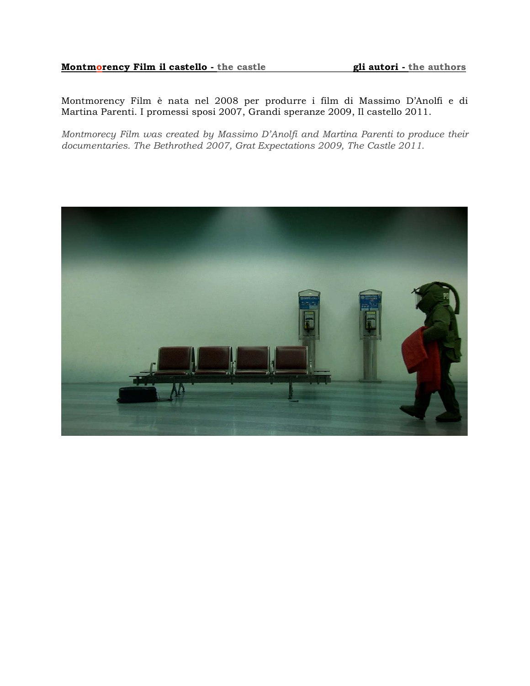## **Montmorency Film il castello - the castle gli autori - the authors**

Montmorency Film è nata nel 2008 per produrre i film di Massimo D'Anolfi e di Martina Parenti. I promessi sposi 2007, Grandi speranze 2009, Il castello 2011.

*Montmorecy Film was created by Massimo D'Anolfi and Martina Parenti to produce their documentaries. The Bethrothed 2007, Grat Expectations 2009, The Castle 2011.*